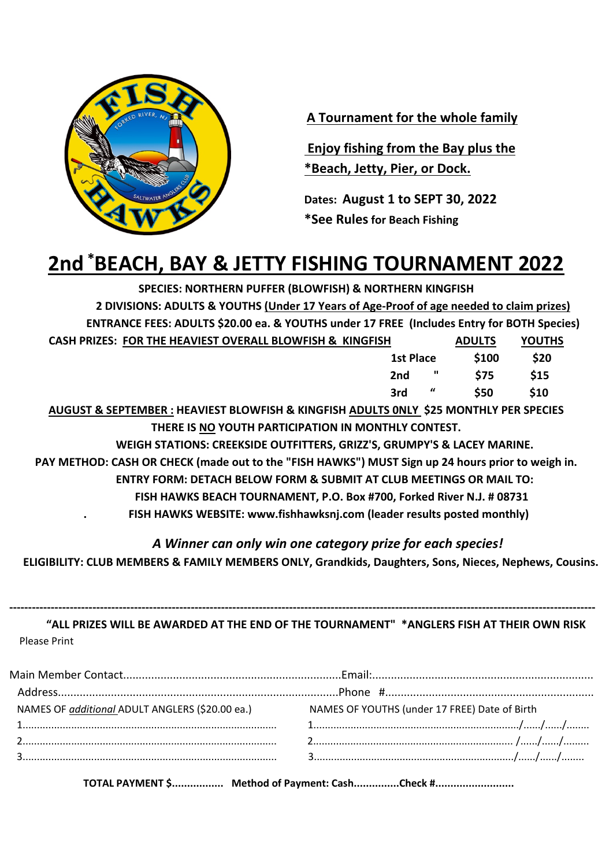

**A Tournament for the whole family**

**Enjoy fishing from the Bay plus the \*Beach, Jetty, Pier, or Dock.**

**Dates: August 1 to SEPT 30, 2022 \*See Rulesfor Beach Fishing**

# **2nd \*BEACH, BAY & JETTY FISHING TOURNAMENT 2022**

**SPECIES: NORTHERN PUFFER (BLOWFISH) & NORTHERN KINGFISH 2 DIVISIONS: ADULTS & YOUTHS (Under 17 Years of Age-Proof of age needed to claim prizes)**

 **ENTRANCE FEES: ADULTS \$20.00 ea. & YOUTHS under 17 FREE (Includes Entry for BOTH Species) CASH PRIZES: FOR THE HEAVIEST OVERALL BLOWFISH & KINGFISH ADULTS YOUTHS** 

| <u> Cash hacese i cili heavilst cyclwdd ddywn chwn cannolloll</u> |           |                               | _____      | .    |  |
|-------------------------------------------------------------------|-----------|-------------------------------|------------|------|--|
|                                                                   | 1st Place |                               | \$100      | \$20 |  |
|                                                                   |           |                               | 2nd " \$75 | \$15 |  |
|                                                                   | 3rd       | $\mathbf{u}$ and $\mathbf{u}$ | \$50       | \$10 |  |
|                                                                   |           |                               |            |      |  |

**AUGUST & SEPTEMBER : HEAVIEST BLOWFISH & KINGFISH ADULTS 0NLY \$25 MONTHLY PER SPECIES THERE IS NO YOUTH PARTICIPATION IN MONTHLY CONTEST.**

**WEIGH STATIONS: CREEKSIDE OUTFITTERS, GRIZZ'S, GRUMPY'S & LACEY MARINE.** 

**PAY METHOD: CASH OR CHECK (made out to the "FISH HAWKS") MUST Sign up 24 hours prior to weigh in.**

**ENTRY FORM: DETACH BELOW FORM & SUBMIT AT CLUB MEETINGS OR MAIL TO:**

 **FISH HAWKS BEACH TOURNAMENT, P.O. Box #700, Forked River N.J. # 08731** 

**. FISH HAWKS WEBSITE: www.fishhawksnj.com (leader results posted monthly)**

*A Winner can only win one category prize for each species!*

 **ELIGIBILITY: CLUB MEMBERS & FAMILY MEMBERS ONLY, Grandkids, Daughters, Sons, Nieces, Nephews, Cousins.**

**----------------------------------------------------------------------------------------------------------------------------------------------------------- "ALL PRIZES WILL BE AWARDED AT THE END OF THE TOURNAMENT" \*ANGLERS FISH AT THEIR OWN RISK** Please Print

| NAMES OF additional ADULT ANGLERS (\$20.00 ea.) | NAMES OF YOUTHS (under 17 FREE) Date of Birth |  |  |  |
|-------------------------------------------------|-----------------------------------------------|--|--|--|
|                                                 |                                               |  |  |  |
|                                                 |                                               |  |  |  |
|                                                 |                                               |  |  |  |
|                                                 |                                               |  |  |  |

**TOTAL PAYMENT \$................. Method of Payment: Cash...............Check #..........................**